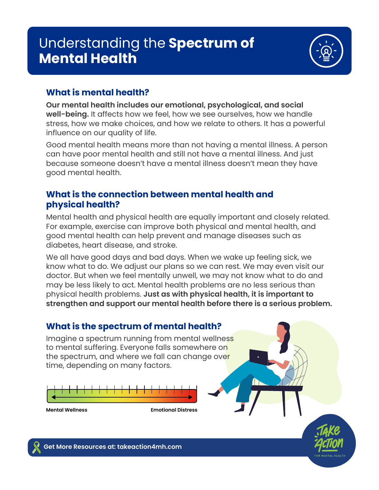## Understanding the **Spectrum of Mental Health**



## **What is mental health?**

**Our mental health includes our emotional, psychological, and social well-being.** It affects how we feel, how we see ourselves, how we handle stress, how we make choices, and how we relate to others. It has a powerful influence on our quality of life.

Good mental health means more than not having a mental illness. A person can have poor mental health and still not have a mental illness. And just because someone doesn't have a mental illness doesn't mean they have good mental health.

## **What is the connection between mental health and physical health?**

Mental health and physical health are equally important and closely related. For example, exercise can improve both physical and mental health, and good mental health can help prevent and manage diseases such as diabetes, heart disease, and stroke.

We all have good days and bad days. When we wake up feeling sick, we know what to do. We adjust our plans so we can rest. We may even visit our doctor. But when we feel mentally unwell, we may not know what to do and may be less likely to act. Mental health problems are no less serious than physical health problems. **Just as with physical health, it is important to strengthen and support our mental health before there is a serious problem.** 

## **What is the spectrum of mental health?**

Imagine a spectrum running from mental wellness to mental suffering. Everyone falls somewhere on the spectrum, and where we fall can change over time, depending on many factors.



**Mental Wellness Emotional Distress**